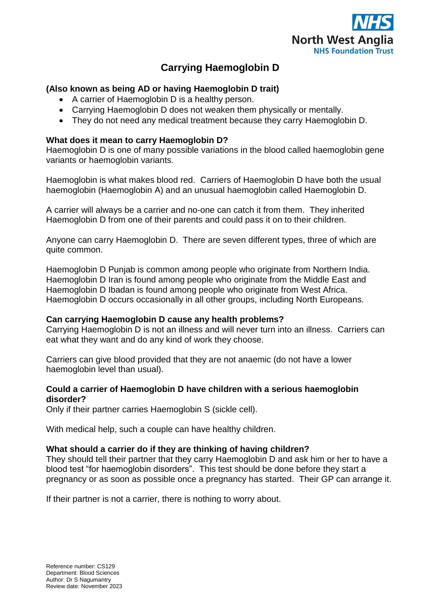

# **Carrying Haemoglobin D**

## **(Also known as being AD or having Haemoglobin D trait)**

- A carrier of Haemoglobin D is a healthy person.
- Carrying Haemoglobin D does not weaken them physically or mentally.
- They do not need any medical treatment because they carry Haemoglobin D.

### **What does it mean to carry Haemoglobin D?**

Haemoglobin D is one of many possible variations in the blood called haemoglobin gene variants or haemoglobin variants.

Haemoglobin is what makes blood red. Carriers of Haemoglobin D have both the usual haemoglobin (Haemoglobin A) and an unusual haemoglobin called Haemoglobin D.

A carrier will always be a carrier and no-one can catch it from them. They inherited Haemoglobin D from one of their parents and could pass it on to their children.

Anyone can carry Haemoglobin D. There are seven different types, three of which are quite common.

Haemoglobin D Punjab is common among people who originate from Northern India. Haemoglobin D Iran is found among people who originate from the Middle East and Haemoglobin D Ibadan is found among people who originate from West Africa. Haemoglobin D occurs occasionally in all other groups, including North Europeans.

### **Can carrying Haemoglobin D cause any health problems?**

Carrying Haemoglobin D is not an illness and will never turn into an illness. Carriers can eat what they want and do any kind of work they choose.

Carriers can give blood provided that they are not anaemic (do not have a lower haemoglobin level than usual).

### **Could a carrier of Haemoglobin D have children with a serious haemoglobin disorder?**

Only if their partner carries Haemoglobin S (sickle cell).

With medical help, such a couple can have healthy children.

### **What should a carrier do if they are thinking of having children?**

They should tell their partner that they carry Haemoglobin D and ask him or her to have a blood test "for haemoglobin disorders". This test should be done before they start a pregnancy or as soon as possible once a pregnancy has started. Their GP can arrange it.

If their partner is not a carrier, there is nothing to worry about.